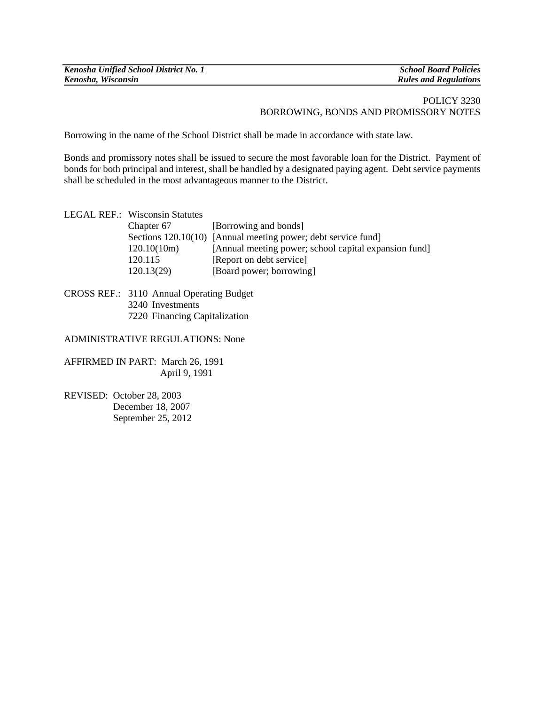| Kenosha Unified School District No. 1 |
|---------------------------------------|
| Kenosha, Wisconsin                    |

*Kenosha Unified School District No. 1 School Board Policies*  **Rules and Regulations** 

## POLICY 3230 BORROWING, BONDS AND PROMISSORY NOTES

Borrowing in the name of the School District shall be made in accordance with state law.

Bonds and promissory notes shall be issued to secure the most favorable loan for the District. Payment of bonds for both principal and interest, shall be handled by a designated paying agent. Debt service payments shall be scheduled in the most advantageous manner to the District.

| LEGAL REF.: Wisconsin Statutes |                                                               |
|--------------------------------|---------------------------------------------------------------|
| Chapter 67                     | [Borrowing and bonds]                                         |
|                                | Sections 120.10(10) [Annual meeting power; debt service fund] |
| 120.10(10m)                    | [Annual meeting power; school capital expansion fund]         |
| 120.115                        | [Report on debt service]                                      |
| 120.13(29)                     | [Board power; borrowing]                                      |
|                                |                                                               |

CROSS REF.: 3110 Annual Operating Budget 3240 Investments 7220 Financing Capitalization

## ADMINISTRATIVE REGULATIONS: None

AFFIRMED IN PART: March 26, 1991 April 9, 1991

REVISED: October 28, 2003 December 18, 2007 September 25, 2012